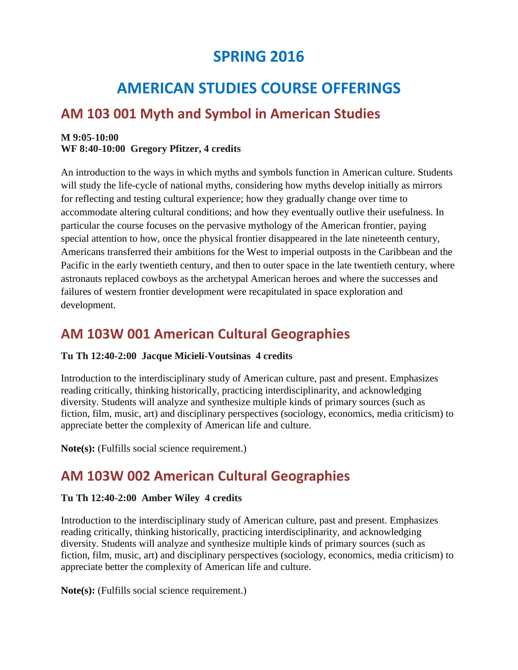# **SPRING 2016**

# **AMERICAN STUDIES COURSE OFFERINGS**

## **AM 103 001 Myth and Symbol in American Studies**

### **M 9:05-10:00 WF 8:40-10:00 Gregory Pfitzer, 4 credits**

An introduction to the ways in which myths and symbols function in American culture. Students will study the life-cycle of national myths, considering how myths develop initially as mirrors for reflecting and testing cultural experience; how they gradually change over time to accommodate altering cultural conditions; and how they eventually outlive their usefulness. In particular the course focuses on the pervasive mythology of the American frontier, paying special attention to how, once the physical frontier disappeared in the late nineteenth century, Americans transferred their ambitions for the West to imperial outposts in the Caribbean and the Pacific in the early twentieth century, and then to outer space in the late twentieth century, where astronauts replaced cowboys as the archetypal American heroes and where the successes and failures of western frontier development were recapitulated in space exploration and development.

## **AM 103W 001 American Cultural Geographies**

### **Tu Th 12:40-2:00 Jacque Micieli-Voutsinas 4 credits**

Introduction to the interdisciplinary study of American culture, past and present. Emphasizes reading critically, thinking historically, practicing interdisciplinarity, and acknowledging diversity. Students will analyze and synthesize multiple kinds of primary sources (such as fiction, film, music, art) and disciplinary perspectives (sociology, economics, media criticism) to appreciate better the complexity of American life and culture.

**Note(s):** (Fulfills social science requirement.)

## **AM 103W 002 American Cultural Geographies**

### **Tu Th 12:40-2:00 Amber Wiley 4 credits**

Introduction to the interdisciplinary study of American culture, past and present. Emphasizes reading critically, thinking historically, practicing interdisciplinarity, and acknowledging diversity. Students will analyze and synthesize multiple kinds of primary sources (such as fiction, film, music, art) and disciplinary perspectives (sociology, economics, media criticism) to appreciate better the complexity of American life and culture.

**Note(s):** (Fulfills social science requirement.)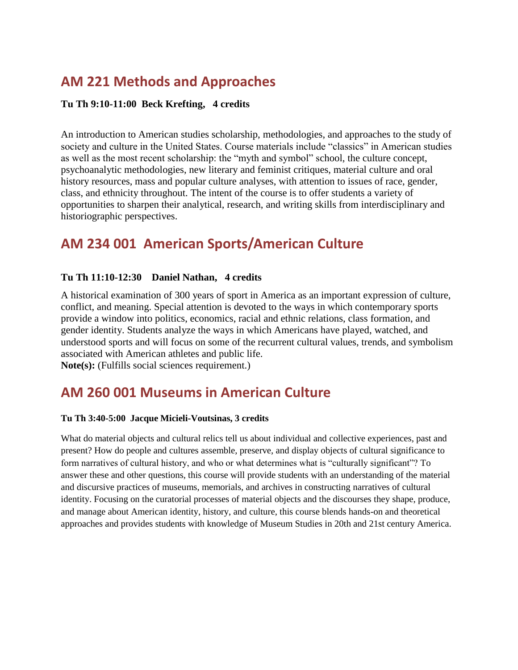# **AM 221 Methods and Approaches**

### **Tu Th 9:10-11:00 Beck Krefting, 4 credits**

An introduction to American studies scholarship, methodologies, and approaches to the study of society and culture in the United States. Course materials include "classics" in American studies as well as the most recent scholarship: the "myth and symbol" school, the culture concept, psychoanalytic methodologies, new literary and feminist critiques, material culture and oral history resources, mass and popular culture analyses, with attention to issues of race, gender, class, and ethnicity throughout. The intent of the course is to offer students a variety of opportunities to sharpen their analytical, research, and writing skills from interdisciplinary and historiographic perspectives.

## **AM 234 001 American Sports/American Culture**

### **Tu Th 11:10-12:30 Daniel Nathan, 4 credits**

A historical examination of 300 years of sport in America as an important expression of culture, conflict, and meaning. Special attention is devoted to the ways in which contemporary sports provide a window into politics, economics, racial and ethnic relations, class formation, and gender identity. Students analyze the ways in which Americans have played, watched, and understood sports and will focus on some of the recurrent cultural values, trends, and symbolism associated with American athletes and public life. **Note(s):** (Fulfills social sciences requirement.)

### **AM 260 001 Museums in American Culture**

### **Tu Th 3:40-5:00 Jacque Micieli-Voutsinas, 3 credits**

What do material objects and cultural relics tell us about individual and collective experiences, past and present? How do people and cultures assemble, preserve, and display objects of cultural significance to form narratives of cultural history, and who or what determines what is "culturally significant"? To answer these and other questions, this course will provide students with an understanding of the material and discursive practices of museums, memorials, and archives in constructing narratives of cultural identity. Focusing on the curatorial processes of material objects and the discourses they shape, produce, and manage about American identity, history, and culture, this course blends hands-on and theoretical approaches and provides students with knowledge of Museum Studies in 20th and 21st century America.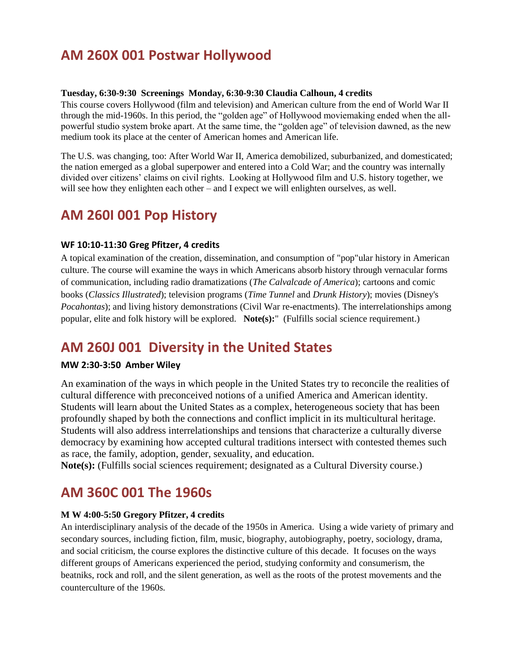## **AM 260X 001 Postwar Hollywood**

#### **Tuesday, 6:30-9:30 Screenings Monday, 6:30-9:30 Claudia Calhoun, 4 credits**

This course covers Hollywood (film and television) and American culture from the end of World War II through the mid-1960s. In this period, the "golden age" of Hollywood moviemaking ended when the allpowerful studio system broke apart. At the same time, the "golden age" of television dawned, as the new medium took its place at the center of American homes and American life.

The U.S. was changing, too: After World War II, America demobilized, suburbanized, and domesticated; the nation emerged as a global superpower and entered into a Cold War; and the country was internally divided over citizens' claims on civil rights. Looking at Hollywood film and U.S. history together, we will see how they enlighten each other – and I expect we will enlighten ourselves, as well.

### **AM 260I 001 Pop History**

#### **WF 10:10-11:30 Greg Pfitzer, 4 credits**

A topical examination of the creation, dissemination, and consumption of "pop"ular history in American culture. The course will examine the ways in which Americans absorb history through vernacular forms of communication, including radio dramatizations (*The Calvalcade of America*); cartoons and comic books (*Classics Illustrated*); television programs (*Time Tunnel* and *Drunk History*); movies (Disney's *Pocahontas*); and living history demonstrations (Civil War re-enactments). The interrelationships among popular, elite and folk history will be explored. **Note(s):**" (Fulfills social science requirement.)

## **AM 260J 001 Diversity in the United States**

### **MW 2:30-3:50 Amber Wiley**

An examination of the ways in which people in the United States try to reconcile the realities of cultural difference with preconceived notions of a unified America and American identity. Students will learn about the United States as a complex, heterogeneous society that has been profoundly shaped by both the connections and conflict implicit in its multicultural heritage. Students will also address interrelationships and tensions that characterize a culturally diverse democracy by examining how accepted cultural traditions intersect with contested themes such as race, the family, adoption, gender, sexuality, and education.

**Note(s):** (Fulfills social sciences requirement; designated as a Cultural Diversity course.)

### **AM 360C 001 The 1960s**

### **M W 4:00-5:50 Gregory Pfitzer, 4 credits**

An interdisciplinary analysis of the decade of the 1950s in America. Using a wide variety of primary and secondary sources, including fiction, film, music, biography, autobiography, poetry, sociology, drama, and social criticism, the course explores the distinctive culture of this decade. It focuses on the ways different groups of Americans experienced the period, studying conformity and consumerism, the beatniks, rock and roll, and the silent generation, as well as the roots of the protest movements and the counterculture of the 1960s.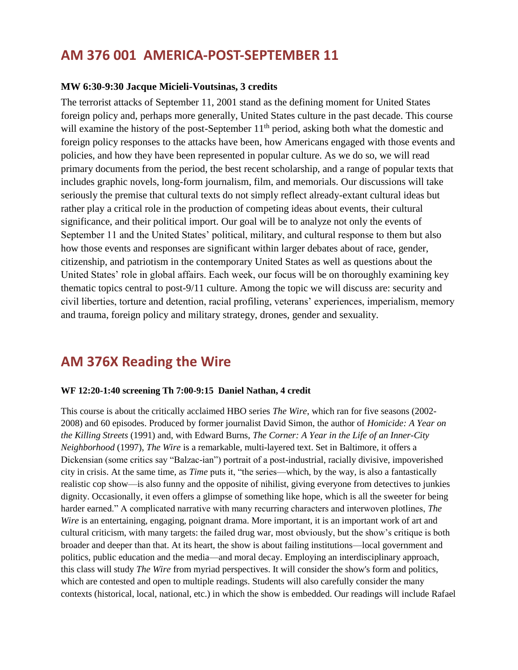### **AM 376 001 AMERICA-POST-SEPTEMBER 11**

### **MW 6:30-9:30 Jacque Micieli-Voutsinas, 3 credits**

The terrorist attacks of September 11, 2001 stand as the defining moment for United States foreign policy and, perhaps more generally, United States culture in the past decade. This course will examine the history of the post-September  $11<sup>th</sup>$  period, asking both what the domestic and foreign policy responses to the attacks have been, how Americans engaged with those events and policies, and how they have been represented in popular culture. As we do so, we will read primary documents from the period, the best recent scholarship, and a range of popular texts that includes graphic novels, long-form journalism, film, and memorials. Our discussions will take seriously the premise that cultural texts do not simply reflect already-extant cultural ideas but rather play a critical role in the production of competing ideas about events, their cultural significance, and their political import. Our goal will be to analyze not only the events of September 11 and the United States' political, military, and cultural response to them but also how those events and responses are significant within larger debates about of race, gender, citizenship, and patriotism in the contemporary United States as well as questions about the United States' role in global affairs. Each week, our focus will be on thoroughly examining key thematic topics central to post-9/11 culture. Among the topic we will discuss are: security and civil liberties, torture and detention, racial profiling, veterans' experiences, imperialism, memory and trauma, foreign policy and military strategy, drones, gender and sexuality.

### **AM 376X Reading the Wire**

#### **WF 12:20-1:40 screening Th 7:00-9:15 Daniel Nathan, 4 credit**

This course is about the critically acclaimed HBO series *The Wire*, which ran for five seasons (2002- 2008) and 60 episodes. Produced by former journalist David Simon, the author of *Homicide: A Year on the Killing Streets* (1991) and, with Edward Burns, *The Corner: A Year in the Life of an Inner-City Neighborhood* (1997), *The Wire* is a remarkable, multi-layered text. Set in Baltimore, it offers a Dickensian (some critics say "Balzac-ian") portrait of a post-industrial, racially divisive, impoverished city in crisis. At the same time, as *Time* puts it, "the series—which, by the way, is also a fantastically realistic cop show—is also funny and the opposite of nihilist, giving everyone from detectives to junkies dignity. Occasionally, it even offers a glimpse of something like hope, which is all the sweeter for being harder earned." A complicated narrative with many recurring characters and interwoven plotlines, *The Wire* is an entertaining, engaging, poignant drama. More important, it is an important work of art and cultural criticism, with many targets: the failed drug war, most obviously, but the show's critique is both broader and deeper than that. At its heart, the show is about failing institutions—local government and politics, public education and the media—and moral decay. Employing an interdisciplinary approach, this class will study *The Wire* from myriad perspectives. It will consider the show's form and politics, which are contested and open to multiple readings. Students will also carefully consider the many contexts (historical, local, national, etc.) in which the show is embedded. Our readings will include Rafael